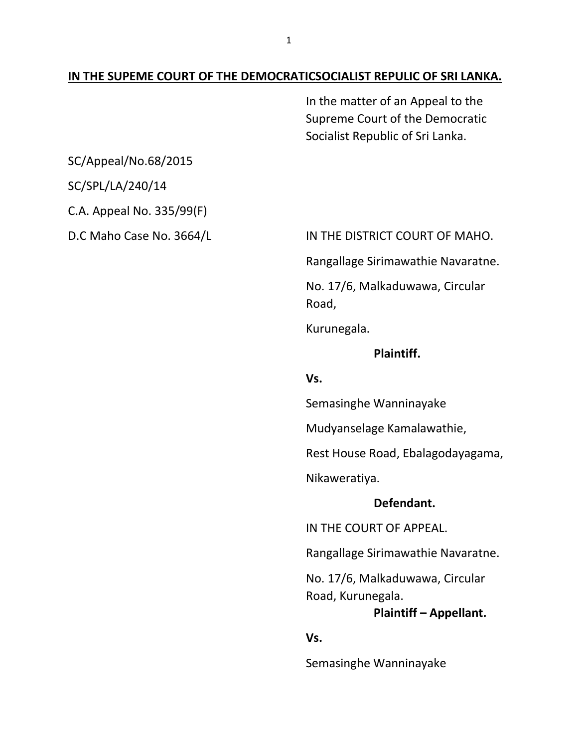#### **IN THE SUPEME COURT OF THE DEMOCRATICSOCIALIST REPULIC OF SRI LANKA.**

In the matter of an Appeal to the Supreme Court of the Democratic Socialist Republic of Sri Lanka.

SC/Appeal/No.68/2015

SC/SPL/LA/240/14

C.A. Appeal No. 335/99(F)

D.C Maho Case No. 3664/L IN THE DISTRICT COURT OF MAHO.

Rangallage Sirimawathie Navaratne.

No. 17/6, Malkaduwawa, Circular Road,

Kurunegala.

#### **Plaintiff.**

**Vs.**

Semasinghe Wanninayake

Mudyanselage Kamalawathie,

Rest House Road, Ebalagodayagama,

Nikaweratiya.

#### **Defendant.**

IN THE COURT OF APPEAL.

Rangallage Sirimawathie Navaratne.

No. 17/6, Malkaduwawa, Circular Road, Kurunegala.

#### **Plaintiff – Appellant.**

**Vs.**

Semasinghe Wanninayake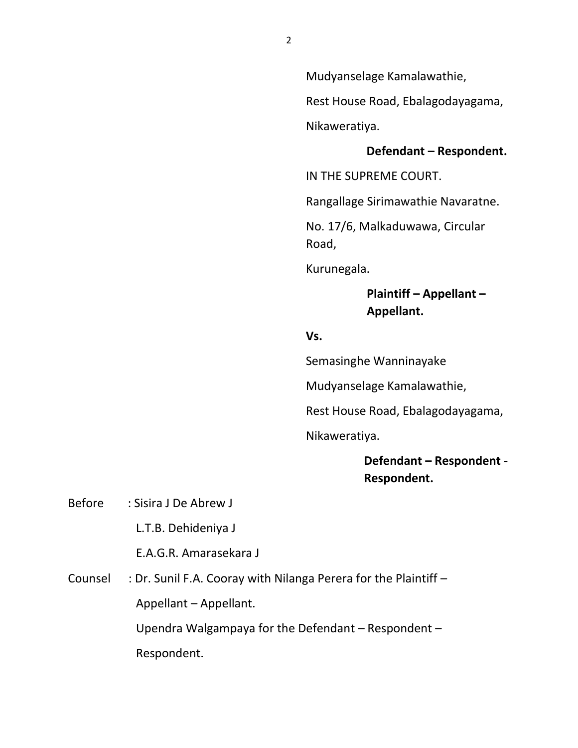Mudyanselage Kamalawathie,

Rest House Road, Ebalagodayagama,

Nikaweratiya.

#### **Defendant – Respondent.**

IN THE SUPREME COURT.

Rangallage Sirimawathie Navaratne.

No. 17/6, Malkaduwawa, Circular Road,

Kurunegala.

### **Plaintiff – Appellant – Appellant.**

#### **Vs.**

Semasinghe Wanninayake

Mudyanselage Kamalawathie,

Rest House Road, Ebalagodayagama,

Nikaweratiya.

**Defendant – Respondent - Respondent.**

Before : Sisira J De Abrew J

L.T.B. Dehideniya J

E.A.G.R. Amarasekara J

Counsel : Dr. Sunil F.A. Cooray with Nilanga Perera for the Plaintiff – Appellant – Appellant.

Upendra Walgampaya for the Defendant – Respondent –

Respondent.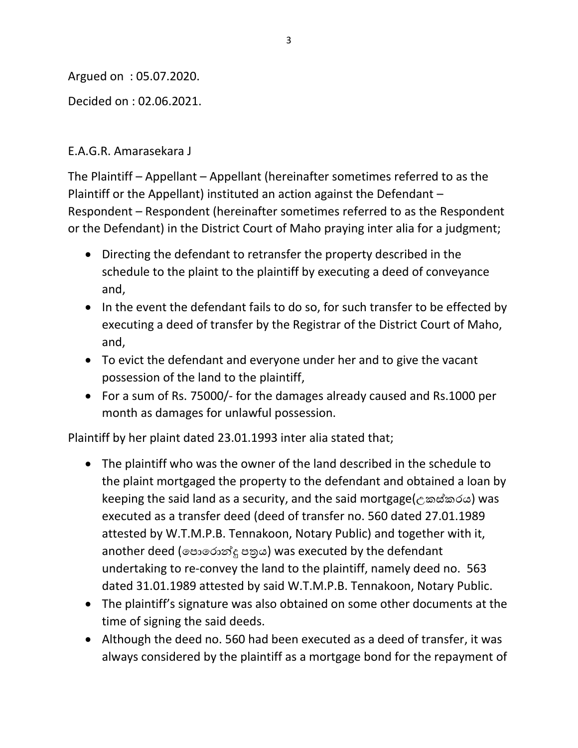Argued on : 05.07.2020.

Decided on : 02.06.2021.

### E.A.G.R. Amarasekara J

The Plaintiff – Appellant – Appellant (hereinafter sometimes referred to as the Plaintiff or the Appellant) instituted an action against the Defendant – Respondent – Respondent (hereinafter sometimes referred to as the Respondent or the Defendant) in the District Court of Maho praying inter alia for a judgment;

- Directing the defendant to retransfer the property described in the schedule to the plaint to the plaintiff by executing a deed of conveyance and,
- In the event the defendant fails to do so, for such transfer to be effected by executing a deed of transfer by the Registrar of the District Court of Maho, and,
- To evict the defendant and everyone under her and to give the vacant possession of the land to the plaintiff,
- For a sum of Rs. 75000/- for the damages already caused and Rs.1000 per month as damages for unlawful possession.

Plaintiff by her plaint dated 23.01.1993 inter alia stated that;

- The plaintiff who was the owner of the land described in the schedule to the plaint mortgaged the property to the defendant and obtained a loan by keeping the said land as a security, and the said mortgage(උකස්කරය) was executed as a transfer deed (deed of transfer no. 560 dated 27.01.1989 attested by W.T.M.P.B. Tennakoon, Notary Public) and together with it, another deed (පොරොන්දූ පතුය) was executed by the defendant undertaking to re-convey the land to the plaintiff, namely deed no. 563 dated 31.01.1989 attested by said W.T.M.P.B. Tennakoon, Notary Public.
- The plaintiff's signature was also obtained on some other documents at the time of signing the said deeds.
- Although the deed no. 560 had been executed as a deed of transfer, it was always considered by the plaintiff as a mortgage bond for the repayment of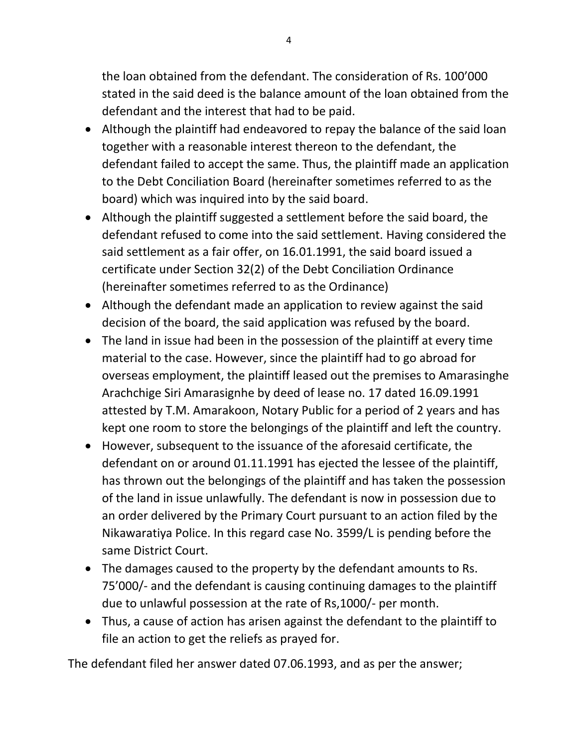the loan obtained from the defendant. The consideration of Rs. 100'000 stated in the said deed is the balance amount of the loan obtained from the defendant and the interest that had to be paid.

- Although the plaintiff had endeavored to repay the balance of the said loan together with a reasonable interest thereon to the defendant, the defendant failed to accept the same. Thus, the plaintiff made an application to the Debt Conciliation Board (hereinafter sometimes referred to as the board) which was inquired into by the said board.
- Although the plaintiff suggested a settlement before the said board, the defendant refused to come into the said settlement. Having considered the said settlement as a fair offer, on 16.01.1991, the said board issued a certificate under Section 32(2) of the Debt Conciliation Ordinance (hereinafter sometimes referred to as the Ordinance)
- Although the defendant made an application to review against the said decision of the board, the said application was refused by the board.
- The land in issue had been in the possession of the plaintiff at every time material to the case. However, since the plaintiff had to go abroad for overseas employment, the plaintiff leased out the premises to Amarasinghe Arachchige Siri Amarasignhe by deed of lease no. 17 dated 16.09.1991 attested by T.M. Amarakoon, Notary Public for a period of 2 years and has kept one room to store the belongings of the plaintiff and left the country.
- However, subsequent to the issuance of the aforesaid certificate, the defendant on or around 01.11.1991 has ejected the lessee of the plaintiff, has thrown out the belongings of the plaintiff and has taken the possession of the land in issue unlawfully. The defendant is now in possession due to an order delivered by the Primary Court pursuant to an action filed by the Nikawaratiya Police. In this regard case No. 3599/L is pending before the same District Court.
- The damages caused to the property by the defendant amounts to Rs. 75'000/- and the defendant is causing continuing damages to the plaintiff due to unlawful possession at the rate of Rs,1000/- per month.
- Thus, a cause of action has arisen against the defendant to the plaintiff to file an action to get the reliefs as prayed for.

The defendant filed her answer dated 07.06.1993, and as per the answer;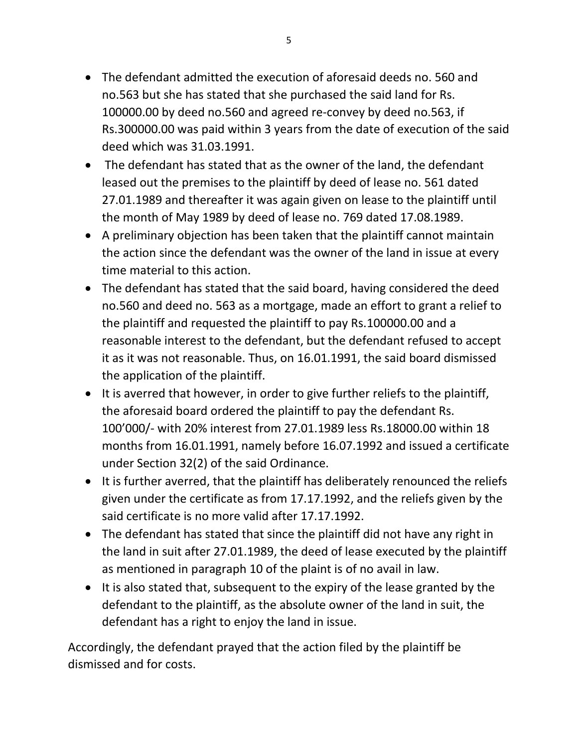- The defendant admitted the execution of aforesaid deeds no. 560 and no.563 but she has stated that she purchased the said land for Rs. 100000.00 by deed no.560 and agreed re-convey by deed no.563, if Rs.300000.00 was paid within 3 years from the date of execution of the said deed which was 31.03.1991.
- The defendant has stated that as the owner of the land, the defendant leased out the premises to the plaintiff by deed of lease no. 561 dated 27.01.1989 and thereafter it was again given on lease to the plaintiff until the month of May 1989 by deed of lease no. 769 dated 17.08.1989.
- A preliminary objection has been taken that the plaintiff cannot maintain the action since the defendant was the owner of the land in issue at every time material to this action.
- The defendant has stated that the said board, having considered the deed no.560 and deed no. 563 as a mortgage, made an effort to grant a relief to the plaintiff and requested the plaintiff to pay Rs.100000.00 and a reasonable interest to the defendant, but the defendant refused to accept it as it was not reasonable. Thus, on 16.01.1991, the said board dismissed the application of the plaintiff.
- It is averred that however, in order to give further reliefs to the plaintiff, the aforesaid board ordered the plaintiff to pay the defendant Rs. 100'000/- with 20% interest from 27.01.1989 less Rs.18000.00 within 18 months from 16.01.1991, namely before 16.07.1992 and issued a certificate under Section 32(2) of the said Ordinance.
- It is further averred, that the plaintiff has deliberately renounced the reliefs given under the certificate as from 17.17.1992, and the reliefs given by the said certificate is no more valid after 17.17.1992.
- The defendant has stated that since the plaintiff did not have any right in the land in suit after 27.01.1989, the deed of lease executed by the plaintiff as mentioned in paragraph 10 of the plaint is of no avail in law.
- It is also stated that, subsequent to the expiry of the lease granted by the defendant to the plaintiff, as the absolute owner of the land in suit, the defendant has a right to enjoy the land in issue.

Accordingly, the defendant prayed that the action filed by the plaintiff be dismissed and for costs.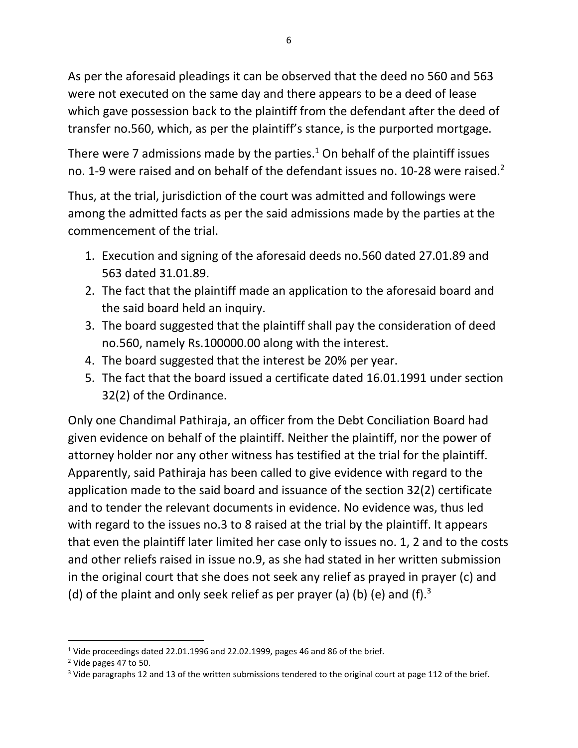As per the aforesaid pleadings it can be observed that the deed no 560 and 563 were not executed on the same day and there appears to be a deed of lease which gave possession back to the plaintiff from the defendant after the deed of transfer no.560, which, as per the plaintiff's stance, is the purported mortgage.

There were 7 admissions made by the parties.<sup>1</sup> On behalf of the plaintiff issues no. 1-9 were raised and on behalf of the defendant issues no. 10-28 were raised.<sup>2</sup>

Thus, at the trial, jurisdiction of the court was admitted and followings were among the admitted facts as per the said admissions made by the parties at the commencement of the trial.

- 1. Execution and signing of the aforesaid deeds no.560 dated 27.01.89 and 563 dated 31.01.89.
- 2. The fact that the plaintiff made an application to the aforesaid board and the said board held an inquiry.
- 3. The board suggested that the plaintiff shall pay the consideration of deed no.560, namely Rs.100000.00 along with the interest.
- 4. The board suggested that the interest be 20% per year.
- 5. The fact that the board issued a certificate dated 16.01.1991 under section 32(2) of the Ordinance.

Only one Chandimal Pathiraja, an officer from the Debt Conciliation Board had given evidence on behalf of the plaintiff. Neither the plaintiff, nor the power of attorney holder nor any other witness has testified at the trial for the plaintiff. Apparently, said Pathiraja has been called to give evidence with regard to the application made to the said board and issuance of the section 32(2) certificate and to tender the relevant documents in evidence. No evidence was, thus led with regard to the issues no.3 to 8 raised at the trial by the plaintiff. It appears that even the plaintiff later limited her case only to issues no. 1, 2 and to the costs and other reliefs raised in issue no.9, as she had stated in her written submission in the original court that she does not seek any relief as prayed in prayer (c) and (d) of the plaint and only seek relief as per prayer (a) (b) (e) and (f).<sup>3</sup>

<sup>&</sup>lt;sup>1</sup> Vide proceedings dated 22.01.1996 and 22.02.1999, pages 46 and 86 of the brief.

 $<sup>2</sup>$  Vide pages 47 to 50.</sup>

<sup>&</sup>lt;sup>3</sup> Vide paragraphs 12 and 13 of the written submissions tendered to the original court at page 112 of the brief.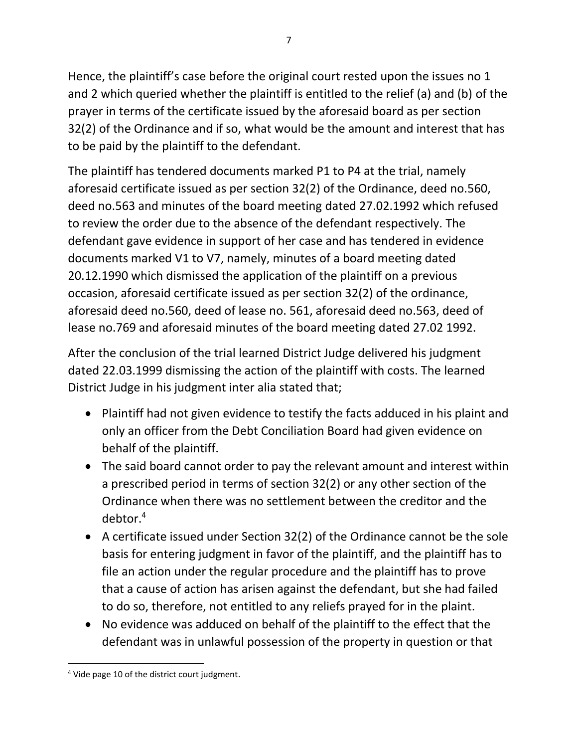Hence, the plaintiff's case before the original court rested upon the issues no 1 and 2 which queried whether the plaintiff is entitled to the relief (a) and (b) of the prayer in terms of the certificate issued by the aforesaid board as per section 32(2) of the Ordinance and if so, what would be the amount and interest that has to be paid by the plaintiff to the defendant.

The plaintiff has tendered documents marked P1 to P4 at the trial, namely aforesaid certificate issued as per section 32(2) of the Ordinance, deed no.560, deed no.563 and minutes of the board meeting dated 27.02.1992 which refused to review the order due to the absence of the defendant respectively. The defendant gave evidence in support of her case and has tendered in evidence documents marked V1 to V7, namely, minutes of a board meeting dated 20.12.1990 which dismissed the application of the plaintiff on a previous occasion, aforesaid certificate issued as per section 32(2) of the ordinance, aforesaid deed no.560, deed of lease no. 561, aforesaid deed no.563, deed of lease no.769 and aforesaid minutes of the board meeting dated 27.02 1992.

After the conclusion of the trial learned District Judge delivered his judgment dated 22.03.1999 dismissing the action of the plaintiff with costs. The learned District Judge in his judgment inter alia stated that;

- Plaintiff had not given evidence to testify the facts adduced in his plaint and only an officer from the Debt Conciliation Board had given evidence on behalf of the plaintiff.
- The said board cannot order to pay the relevant amount and interest within a prescribed period in terms of section 32(2) or any other section of the Ordinance when there was no settlement between the creditor and the debtor. 4
- A certificate issued under Section 32(2) of the Ordinance cannot be the sole basis for entering judgment in favor of the plaintiff, and the plaintiff has to file an action under the regular procedure and the plaintiff has to prove that a cause of action has arisen against the defendant, but she had failed to do so, therefore, not entitled to any reliefs prayed for in the plaint.
- No evidence was adduced on behalf of the plaintiff to the effect that the defendant was in unlawful possession of the property in question or that

<sup>&</sup>lt;sup>4</sup> Vide page 10 of the district court judgment.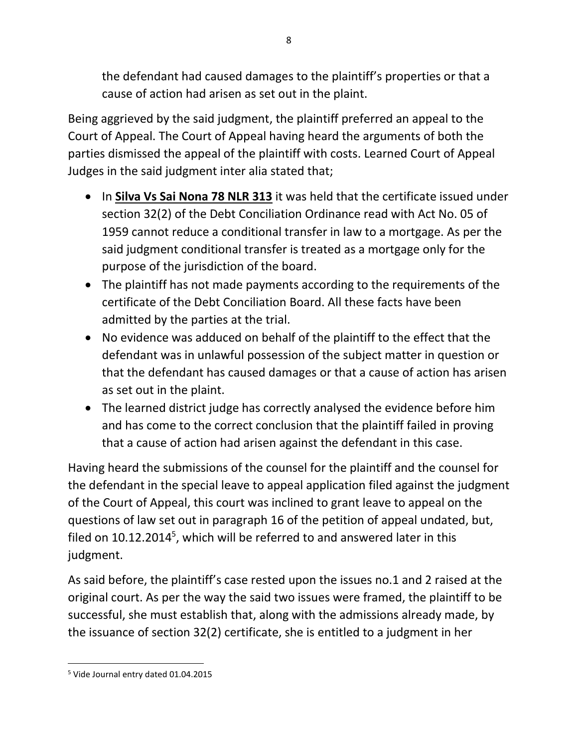the defendant had caused damages to the plaintiff's properties or that a cause of action had arisen as set out in the plaint.

Being aggrieved by the said judgment, the plaintiff preferred an appeal to the Court of Appeal. The Court of Appeal having heard the arguments of both the parties dismissed the appeal of the plaintiff with costs. Learned Court of Appeal Judges in the said judgment inter alia stated that;

- In **Silva Vs Sai Nona 78 NLR 313** it was held that the certificate issued under section 32(2) of the Debt Conciliation Ordinance read with Act No. 05 of 1959 cannot reduce a conditional transfer in law to a mortgage. As per the said judgment conditional transfer is treated as a mortgage only for the purpose of the jurisdiction of the board.
- The plaintiff has not made payments according to the requirements of the certificate of the Debt Conciliation Board. All these facts have been admitted by the parties at the trial.
- No evidence was adduced on behalf of the plaintiff to the effect that the defendant was in unlawful possession of the subject matter in question or that the defendant has caused damages or that a cause of action has arisen as set out in the plaint.
- The learned district judge has correctly analysed the evidence before him and has come to the correct conclusion that the plaintiff failed in proving that a cause of action had arisen against the defendant in this case.

Having heard the submissions of the counsel for the plaintiff and the counsel for the defendant in the special leave to appeal application filed against the judgment of the Court of Appeal, this court was inclined to grant leave to appeal on the questions of law set out in paragraph 16 of the petition of appeal undated, but, filed on  $10.12.2014<sup>5</sup>$ , which will be referred to and answered later in this judgment.

As said before, the plaintiff's case rested upon the issues no.1 and 2 raised at the original court. As per the way the said two issues were framed, the plaintiff to be successful, she must establish that, along with the admissions already made, by the issuance of section 32(2) certificate, she is entitled to a judgment in her

<sup>5</sup> Vide Journal entry dated 01.04.2015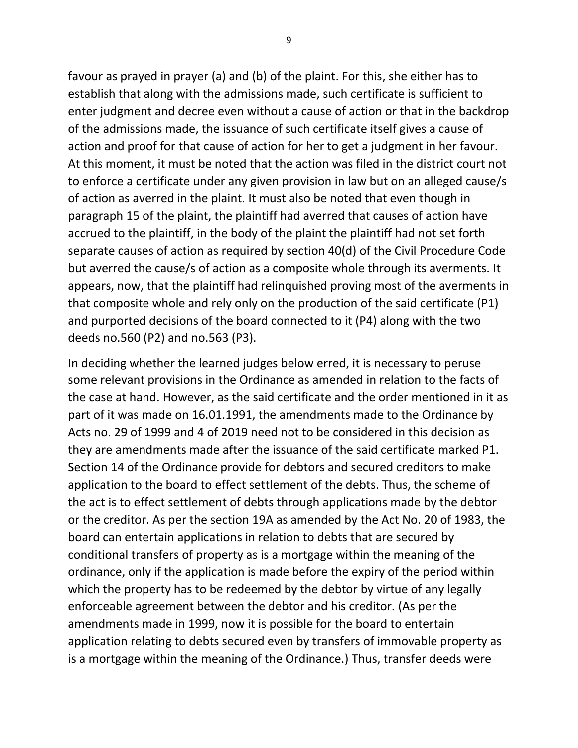favour as prayed in prayer (a) and (b) of the plaint. For this, she either has to establish that along with the admissions made, such certificate is sufficient to enter judgment and decree even without a cause of action or that in the backdrop of the admissions made, the issuance of such certificate itself gives a cause of action and proof for that cause of action for her to get a judgment in her favour. At this moment, it must be noted that the action was filed in the district court not to enforce a certificate under any given provision in law but on an alleged cause/s of action as averred in the plaint. It must also be noted that even though in paragraph 15 of the plaint, the plaintiff had averred that causes of action have accrued to the plaintiff, in the body of the plaint the plaintiff had not set forth separate causes of action as required by section 40(d) of the Civil Procedure Code but averred the cause/s of action as a composite whole through its averments. It appears, now, that the plaintiff had relinquished proving most of the averments in that composite whole and rely only on the production of the said certificate (P1) and purported decisions of the board connected to it (P4) along with the two deeds no.560 (P2) and no.563 (P3).

In deciding whether the learned judges below erred, it is necessary to peruse some relevant provisions in the Ordinance as amended in relation to the facts of the case at hand. However, as the said certificate and the order mentioned in it as part of it was made on 16.01.1991, the amendments made to the Ordinance by Acts no. 29 of 1999 and 4 of 2019 need not to be considered in this decision as they are amendments made after the issuance of the said certificate marked P1. Section 14 of the Ordinance provide for debtors and secured creditors to make application to the board to effect settlement of the debts. Thus, the scheme of the act is to effect settlement of debts through applications made by the debtor or the creditor. As per the section 19A as amended by the Act No. 20 of 1983, the board can entertain applications in relation to debts that are secured by conditional transfers of property as is a mortgage within the meaning of the ordinance, only if the application is made before the expiry of the period within which the property has to be redeemed by the debtor by virtue of any legally enforceable agreement between the debtor and his creditor. (As per the amendments made in 1999, now it is possible for the board to entertain application relating to debts secured even by transfers of immovable property as is a mortgage within the meaning of the Ordinance.) Thus, transfer deeds were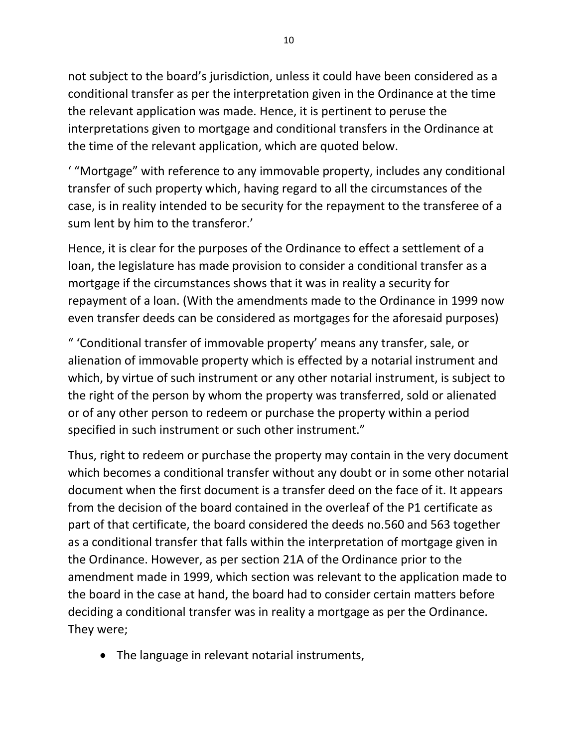not subject to the board's jurisdiction, unless it could have been considered as a conditional transfer as per the interpretation given in the Ordinance at the time the relevant application was made. Hence, it is pertinent to peruse the interpretations given to mortgage and conditional transfers in the Ordinance at the time of the relevant application, which are quoted below.

' "Mortgage" with reference to any immovable property, includes any conditional transfer of such property which, having regard to all the circumstances of the case, is in reality intended to be security for the repayment to the transferee of a sum lent by him to the transferor.'

Hence, it is clear for the purposes of the Ordinance to effect a settlement of a loan, the legislature has made provision to consider a conditional transfer as a mortgage if the circumstances shows that it was in reality a security for repayment of a loan. (With the amendments made to the Ordinance in 1999 now even transfer deeds can be considered as mortgages for the aforesaid purposes)

" 'Conditional transfer of immovable property' means any transfer, sale, or alienation of immovable property which is effected by a notarial instrument and which, by virtue of such instrument or any other notarial instrument, is subject to the right of the person by whom the property was transferred, sold or alienated or of any other person to redeem or purchase the property within a period specified in such instrument or such other instrument."

Thus, right to redeem or purchase the property may contain in the very document which becomes a conditional transfer without any doubt or in some other notarial document when the first document is a transfer deed on the face of it. It appears from the decision of the board contained in the overleaf of the P1 certificate as part of that certificate, the board considered the deeds no.560 and 563 together as a conditional transfer that falls within the interpretation of mortgage given in the Ordinance. However, as per section 21A of the Ordinance prior to the amendment made in 1999, which section was relevant to the application made to the board in the case at hand, the board had to consider certain matters before deciding a conditional transfer was in reality a mortgage as per the Ordinance. They were;

• The language in relevant notarial instruments,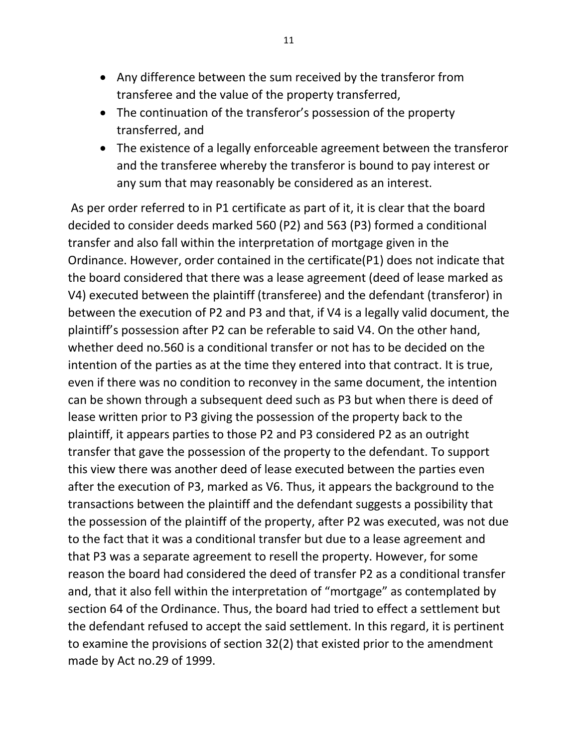- Any difference between the sum received by the transferor from transferee and the value of the property transferred,
- The continuation of the transferor's possession of the property transferred, and
- The existence of a legally enforceable agreement between the transferor and the transferee whereby the transferor is bound to pay interest or any sum that may reasonably be considered as an interest.

As per order referred to in P1 certificate as part of it, it is clear that the board decided to consider deeds marked 560 (P2) and 563 (P3) formed a conditional transfer and also fall within the interpretation of mortgage given in the Ordinance. However, order contained in the certificate(P1) does not indicate that the board considered that there was a lease agreement (deed of lease marked as V4) executed between the plaintiff (transferee) and the defendant (transferor) in between the execution of P2 and P3 and that, if V4 is a legally valid document, the plaintiff's possession after P2 can be referable to said V4. On the other hand, whether deed no.560 is a conditional transfer or not has to be decided on the intention of the parties as at the time they entered into that contract. It is true, even if there was no condition to reconvey in the same document, the intention can be shown through a subsequent deed such as P3 but when there is deed of lease written prior to P3 giving the possession of the property back to the plaintiff, it appears parties to those P2 and P3 considered P2 as an outright transfer that gave the possession of the property to the defendant. To support this view there was another deed of lease executed between the parties even after the execution of P3, marked as V6. Thus, it appears the background to the transactions between the plaintiff and the defendant suggests a possibility that the possession of the plaintiff of the property, after P2 was executed, was not due to the fact that it was a conditional transfer but due to a lease agreement and that P3 was a separate agreement to resell the property. However, for some reason the board had considered the deed of transfer P2 as a conditional transfer and, that it also fell within the interpretation of "mortgage" as contemplated by section 64 of the Ordinance. Thus, the board had tried to effect a settlement but the defendant refused to accept the said settlement. In this regard, it is pertinent to examine the provisions of section 32(2) that existed prior to the amendment made by Act no.29 of 1999.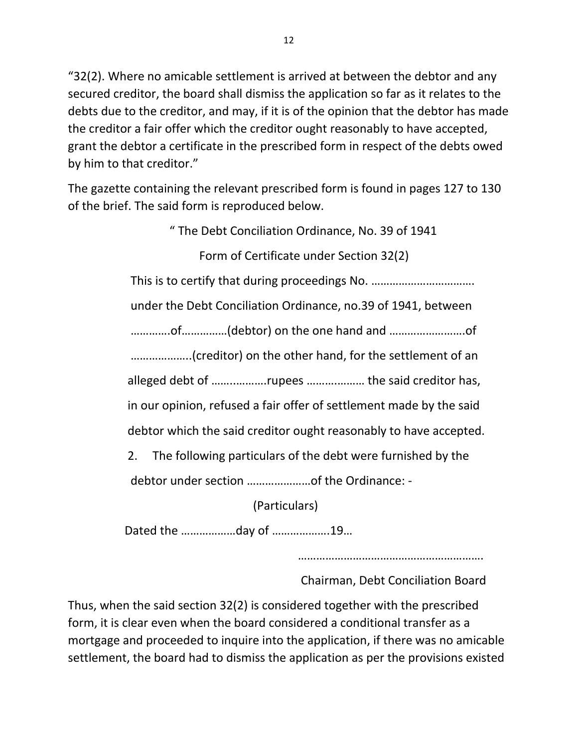"32(2). Where no amicable settlement is arrived at between the debtor and any secured creditor, the board shall dismiss the application so far as it relates to the debts due to the creditor, and may, if it is of the opinion that the debtor has made the creditor a fair offer which the creditor ought reasonably to have accepted, grant the debtor a certificate in the prescribed form in respect of the debts owed by him to that creditor."

The gazette containing the relevant prescribed form is found in pages 127 to 130 of the brief. The said form is reproduced below.

> " The Debt Conciliation Ordinance, No. 39 of 1941 Form of Certificate under Section 32(2) This is to certify that during proceedings No. ……………………………. under the Debt Conciliation Ordinance, no.39 of 1941, between ………….of……………(debtor) on the one hand and …………………….of ………………..(creditor) on the other hand, for the settlement of an alleged debt of ……..……….rupees ……….……… the said creditor has, in our opinion, refused a fair offer of settlement made by the said debtor which the said creditor ought reasonably to have accepted. 2. The following particulars of the debt were furnished by the debtor under section …………………of the Ordinance: - (Particulars)

Dated the ………………day of ……………….19…

…………………………………………………….

Chairman, Debt Conciliation Board

Thus, when the said section 32(2) is considered together with the prescribed form, it is clear even when the board considered a conditional transfer as a mortgage and proceeded to inquire into the application, if there was no amicable settlement, the board had to dismiss the application as per the provisions existed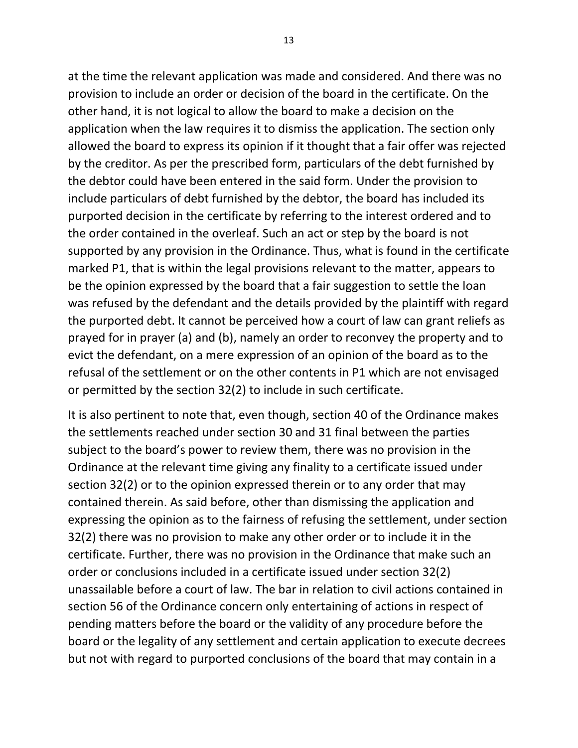at the time the relevant application was made and considered. And there was no provision to include an order or decision of the board in the certificate. On the other hand, it is not logical to allow the board to make a decision on the application when the law requires it to dismiss the application. The section only allowed the board to express its opinion if it thought that a fair offer was rejected by the creditor. As per the prescribed form, particulars of the debt furnished by the debtor could have been entered in the said form. Under the provision to include particulars of debt furnished by the debtor, the board has included its purported decision in the certificate by referring to the interest ordered and to the order contained in the overleaf. Such an act or step by the board is not supported by any provision in the Ordinance. Thus, what is found in the certificate marked P1, that is within the legal provisions relevant to the matter, appears to be the opinion expressed by the board that a fair suggestion to settle the loan was refused by the defendant and the details provided by the plaintiff with regard the purported debt. It cannot be perceived how a court of law can grant reliefs as prayed for in prayer (a) and (b), namely an order to reconvey the property and to evict the defendant, on a mere expression of an opinion of the board as to the refusal of the settlement or on the other contents in P1 which are not envisaged or permitted by the section 32(2) to include in such certificate.

It is also pertinent to note that, even though, section 40 of the Ordinance makes the settlements reached under section 30 and 31 final between the parties subject to the board's power to review them, there was no provision in the Ordinance at the relevant time giving any finality to a certificate issued under section 32(2) or to the opinion expressed therein or to any order that may contained therein. As said before, other than dismissing the application and expressing the opinion as to the fairness of refusing the settlement, under section 32(2) there was no provision to make any other order or to include it in the certificate. Further, there was no provision in the Ordinance that make such an order or conclusions included in a certificate issued under section 32(2) unassailable before a court of law. The bar in relation to civil actions contained in section 56 of the Ordinance concern only entertaining of actions in respect of pending matters before the board or the validity of any procedure before the board or the legality of any settlement and certain application to execute decrees but not with regard to purported conclusions of the board that may contain in a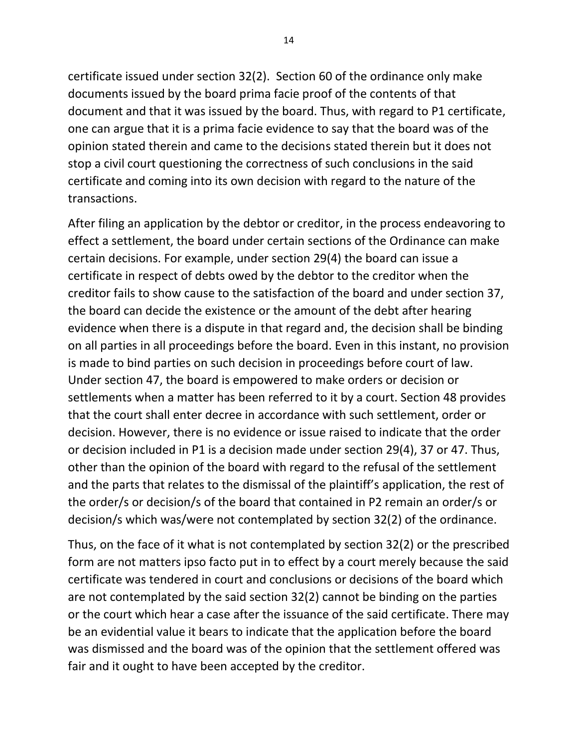certificate issued under section 32(2). Section 60 of the ordinance only make documents issued by the board prima facie proof of the contents of that document and that it was issued by the board. Thus, with regard to P1 certificate, one can argue that it is a prima facie evidence to say that the board was of the opinion stated therein and came to the decisions stated therein but it does not stop a civil court questioning the correctness of such conclusions in the said certificate and coming into its own decision with regard to the nature of the transactions.

After filing an application by the debtor or creditor, in the process endeavoring to effect a settlement, the board under certain sections of the Ordinance can make certain decisions. For example, under section 29(4) the board can issue a certificate in respect of debts owed by the debtor to the creditor when the creditor fails to show cause to the satisfaction of the board and under section 37, the board can decide the existence or the amount of the debt after hearing evidence when there is a dispute in that regard and, the decision shall be binding on all parties in all proceedings before the board. Even in this instant, no provision is made to bind parties on such decision in proceedings before court of law. Under section 47, the board is empowered to make orders or decision or settlements when a matter has been referred to it by a court. Section 48 provides that the court shall enter decree in accordance with such settlement, order or decision. However, there is no evidence or issue raised to indicate that the order or decision included in P1 is a decision made under section 29(4), 37 or 47. Thus, other than the opinion of the board with regard to the refusal of the settlement and the parts that relates to the dismissal of the plaintiff's application, the rest of the order/s or decision/s of the board that contained in P2 remain an order/s or decision/s which was/were not contemplated by section 32(2) of the ordinance.

Thus, on the face of it what is not contemplated by section 32(2) or the prescribed form are not matters ipso facto put in to effect by a court merely because the said certificate was tendered in court and conclusions or decisions of the board which are not contemplated by the said section 32(2) cannot be binding on the parties or the court which hear a case after the issuance of the said certificate. There may be an evidential value it bears to indicate that the application before the board was dismissed and the board was of the opinion that the settlement offered was fair and it ought to have been accepted by the creditor.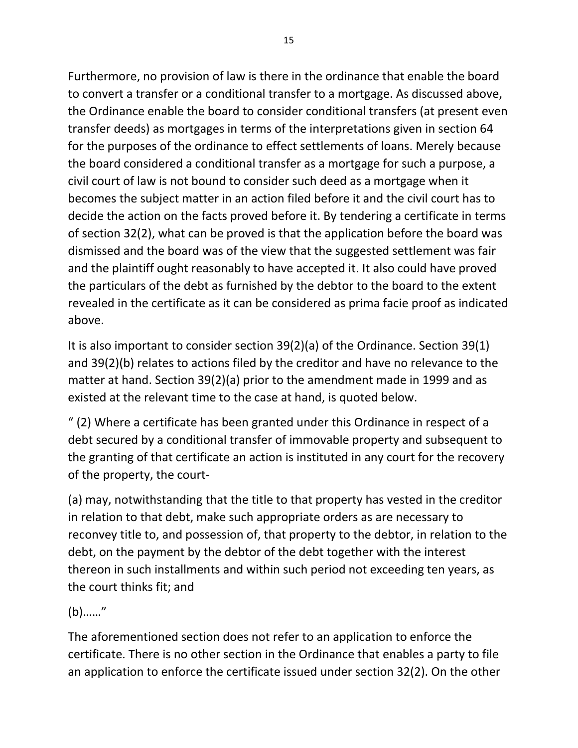Furthermore, no provision of law is there in the ordinance that enable the board to convert a transfer or a conditional transfer to a mortgage. As discussed above, the Ordinance enable the board to consider conditional transfers (at present even transfer deeds) as mortgages in terms of the interpretations given in section 64 for the purposes of the ordinance to effect settlements of loans. Merely because the board considered a conditional transfer as a mortgage for such a purpose, a civil court of law is not bound to consider such deed as a mortgage when it becomes the subject matter in an action filed before it and the civil court has to decide the action on the facts proved before it. By tendering a certificate in terms of section 32(2), what can be proved is that the application before the board was dismissed and the board was of the view that the suggested settlement was fair and the plaintiff ought reasonably to have accepted it. It also could have proved the particulars of the debt as furnished by the debtor to the board to the extent revealed in the certificate as it can be considered as prima facie proof as indicated above.

It is also important to consider section 39(2)(a) of the Ordinance. Section 39(1) and 39(2)(b) relates to actions filed by the creditor and have no relevance to the matter at hand. Section 39(2)(a) prior to the amendment made in 1999 and as existed at the relevant time to the case at hand, is quoted below.

" (2) Where a certificate has been granted under this Ordinance in respect of a debt secured by a conditional transfer of immovable property and subsequent to the granting of that certificate an action is instituted in any court for the recovery of the property, the court-

(a) may, notwithstanding that the title to that property has vested in the creditor in relation to that debt, make such appropriate orders as are necessary to reconvey title to, and possession of, that property to the debtor, in relation to the debt, on the payment by the debtor of the debt together with the interest thereon in such installments and within such period not exceeding ten years, as the court thinks fit; and

(b)……"

The aforementioned section does not refer to an application to enforce the certificate. There is no other section in the Ordinance that enables a party to file an application to enforce the certificate issued under section 32(2). On the other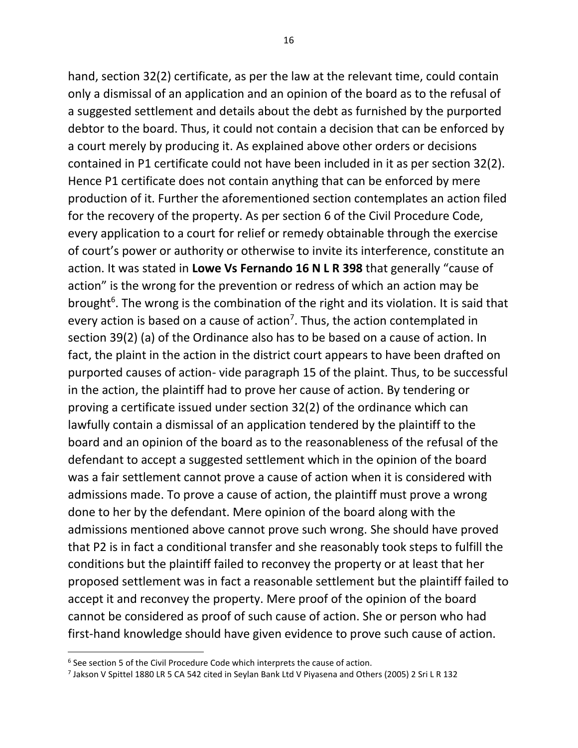hand, section 32(2) certificate, as per the law at the relevant time, could contain only a dismissal of an application and an opinion of the board as to the refusal of a suggested settlement and details about the debt as furnished by the purported debtor to the board. Thus, it could not contain a decision that can be enforced by a court merely by producing it. As explained above other orders or decisions contained in P1 certificate could not have been included in it as per section 32(2). Hence P1 certificate does not contain anything that can be enforced by mere production of it. Further the aforementioned section contemplates an action filed for the recovery of the property. As per section 6 of the Civil Procedure Code, every application to a court for relief or remedy obtainable through the exercise of court's power or authority or otherwise to invite its interference, constitute an action. It was stated in **Lowe Vs Fernando 16 N L R 398** that generally "cause of action" is the wrong for the prevention or redress of which an action may be brought<sup>6</sup>. The wrong is the combination of the right and its violation. It is said that every action is based on a cause of action<sup>7</sup>. Thus, the action contemplated in section 39(2) (a) of the Ordinance also has to be based on a cause of action. In fact, the plaint in the action in the district court appears to have been drafted on purported causes of action- vide paragraph 15 of the plaint. Thus, to be successful in the action, the plaintiff had to prove her cause of action. By tendering or proving a certificate issued under section 32(2) of the ordinance which can lawfully contain a dismissal of an application tendered by the plaintiff to the board and an opinion of the board as to the reasonableness of the refusal of the defendant to accept a suggested settlement which in the opinion of the board was a fair settlement cannot prove a cause of action when it is considered with admissions made. To prove a cause of action, the plaintiff must prove a wrong done to her by the defendant. Mere opinion of the board along with the admissions mentioned above cannot prove such wrong. She should have proved that P2 is in fact a conditional transfer and she reasonably took steps to fulfill the conditions but the plaintiff failed to reconvey the property or at least that her proposed settlement was in fact a reasonable settlement but the plaintiff failed to accept it and reconvey the property. Mere proof of the opinion of the board cannot be considered as proof of such cause of action. She or person who had first-hand knowledge should have given evidence to prove such cause of action.

 $6$  See section 5 of the Civil Procedure Code which interprets the cause of action.

<sup>7</sup> Jakson V Spittel 1880 LR 5 CA 542 cited in Seylan Bank Ltd V Piyasena and Others (2005) 2 Sri L R 132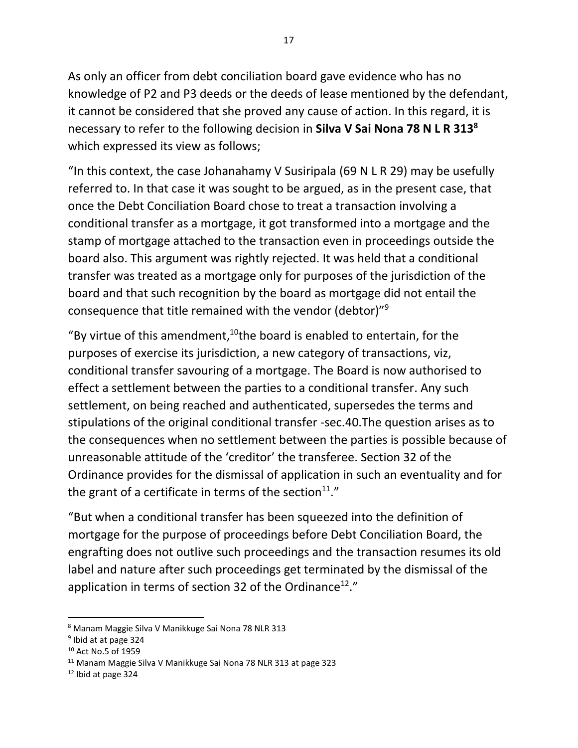As only an officer from debt conciliation board gave evidence who has no knowledge of P2 and P3 deeds or the deeds of lease mentioned by the defendant, it cannot be considered that she proved any cause of action. In this regard, it is necessary to refer to the following decision in **Silva V Sai Nona 78 N L R 313<sup>8</sup>** which expressed its view as follows;

"In this context, the case Johanahamy V Susiripala (69 N L R 29) may be usefully referred to. In that case it was sought to be argued, as in the present case, that once the Debt Conciliation Board chose to treat a transaction involving a conditional transfer as a mortgage, it got transformed into a mortgage and the stamp of mortgage attached to the transaction even in proceedings outside the board also. This argument was rightly rejected. It was held that a conditional transfer was treated as a mortgage only for purposes of the jurisdiction of the board and that such recognition by the board as mortgage did not entail the consequence that title remained with the vendor (debtor)"<sup>9</sup>

"By virtue of this amendment, $10$ the board is enabled to entertain, for the purposes of exercise its jurisdiction, a new category of transactions, viz, conditional transfer savouring of a mortgage. The Board is now authorised to effect a settlement between the parties to a conditional transfer. Any such settlement, on being reached and authenticated, supersedes the terms and stipulations of the original conditional transfer -sec.40.The question arises as to the consequences when no settlement between the parties is possible because of unreasonable attitude of the 'creditor' the transferee. Section 32 of the Ordinance provides for the dismissal of application in such an eventuality and for the grant of a certificate in terms of the section $^{11}$ ."

"But when a conditional transfer has been squeezed into the definition of mortgage for the purpose of proceedings before Debt Conciliation Board, the engrafting does not outlive such proceedings and the transaction resumes its old label and nature after such proceedings get terminated by the dismissal of the application in terms of section 32 of the Ordinance<sup>12</sup>."

<sup>8</sup> Manam Maggie Silva V Manikkuge Sai Nona 78 NLR 313

<sup>&</sup>lt;sup>9</sup> Ibid at at page 324

<sup>10</sup> Act No.5 of 1959

<sup>&</sup>lt;sup>11</sup> Manam Maggie Silva V Manikkuge Sai Nona 78 NLR 313 at page 323

<sup>12</sup> Ibid at page 324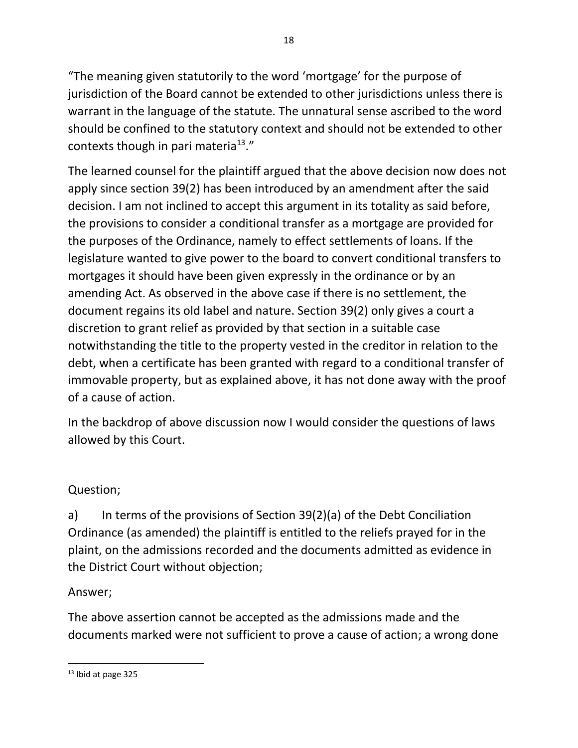"The meaning given statutorily to the word 'mortgage' for the purpose of jurisdiction of the Board cannot be extended to other jurisdictions unless there is warrant in the language of the statute. The unnatural sense ascribed to the word should be confined to the statutory context and should not be extended to other contexts though in pari materia $13."$ 

The learned counsel for the plaintiff argued that the above decision now does not apply since section 39(2) has been introduced by an amendment after the said decision. I am not inclined to accept this argument in its totality as said before, the provisions to consider a conditional transfer as a mortgage are provided for the purposes of the Ordinance, namely to effect settlements of loans. If the legislature wanted to give power to the board to convert conditional transfers to mortgages it should have been given expressly in the ordinance or by an amending Act. As observed in the above case if there is no settlement, the document regains its old label and nature. Section 39(2) only gives a court a discretion to grant relief as provided by that section in a suitable case notwithstanding the title to the property vested in the creditor in relation to the debt, when a certificate has been granted with regard to a conditional transfer of immovable property, but as explained above, it has not done away with the proof of a cause of action.

In the backdrop of above discussion now I would consider the questions of laws allowed by this Court.

## Question;

a) In terms of the provisions of Section 39(2)(a) of the Debt Conciliation Ordinance (as amended) the plaintiff is entitled to the reliefs prayed for in the plaint, on the admissions recorded and the documents admitted as evidence in the District Court without objection;

## Answer;

The above assertion cannot be accepted as the admissions made and the documents marked were not sufficient to prove a cause of action; a wrong done

<sup>13</sup> Ibid at page 325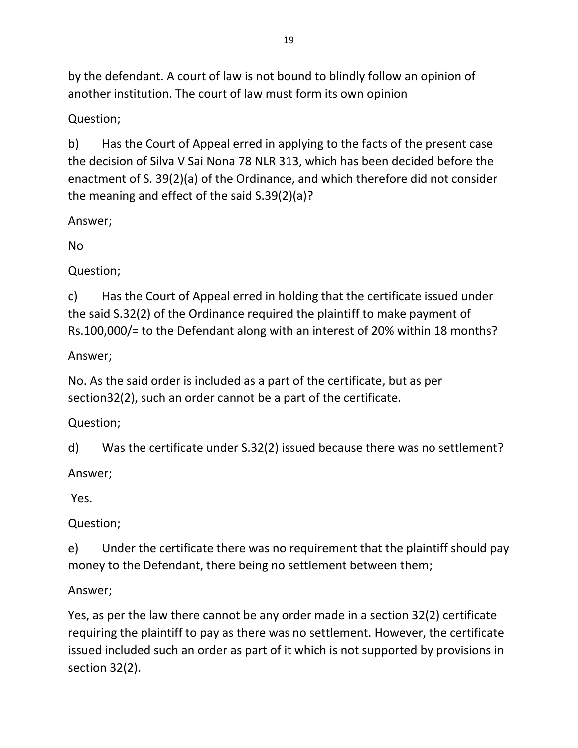by the defendant. A court of law is not bound to blindly follow an opinion of another institution. The court of law must form its own opinion

Question;

b) Has the Court of Appeal erred in applying to the facts of the present case the decision of Silva V Sai Nona 78 NLR 313, which has been decided before the enactment of S. 39(2)(a) of the Ordinance, and which therefore did not consider the meaning and effect of the said S.39(2)(a)?

Answer;

No

Question;

c) Has the Court of Appeal erred in holding that the certificate issued under the said S.32(2) of the Ordinance required the plaintiff to make payment of Rs.100,000/= to the Defendant along with an interest of 20% within 18 months?

Answer;

No. As the said order is included as a part of the certificate, but as per section32(2), such an order cannot be a part of the certificate.

Question;

d) Was the certificate under S.32(2) issued because there was no settlement?

Answer;

Yes.

Question;

e) Under the certificate there was no requirement that the plaintiff should pay money to the Defendant, there being no settlement between them;

Answer;

Yes, as per the law there cannot be any order made in a section 32(2) certificate requiring the plaintiff to pay as there was no settlement. However, the certificate issued included such an order as part of it which is not supported by provisions in section 32(2).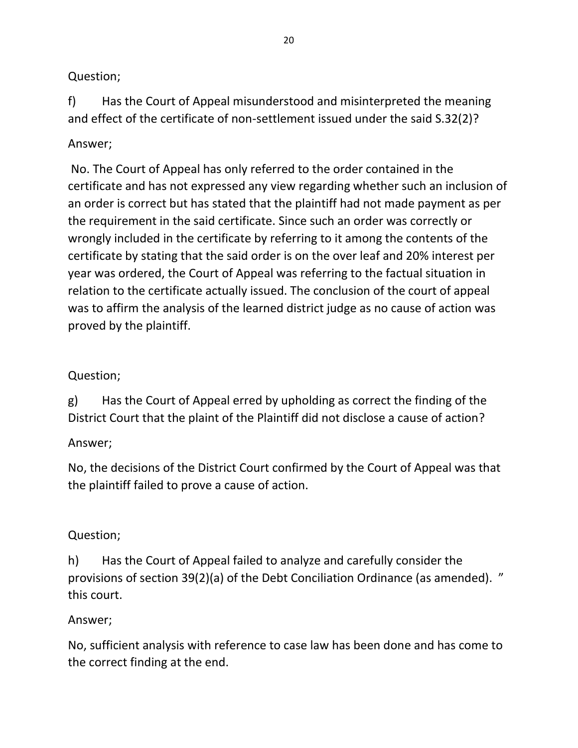### Question;

f) Has the Court of Appeal misunderstood and misinterpreted the meaning and effect of the certificate of non-settlement issued under the said S.32(2)?

## Answer;

No. The Court of Appeal has only referred to the order contained in the certificate and has not expressed any view regarding whether such an inclusion of an order is correct but has stated that the plaintiff had not made payment as per the requirement in the said certificate. Since such an order was correctly or wrongly included in the certificate by referring to it among the contents of the certificate by stating that the said order is on the over leaf and 20% interest per year was ordered, the Court of Appeal was referring to the factual situation in relation to the certificate actually issued. The conclusion of the court of appeal was to affirm the analysis of the learned district judge as no cause of action was proved by the plaintiff.

## Question;

g) Has the Court of Appeal erred by upholding as correct the finding of the District Court that the plaint of the Plaintiff did not disclose a cause of action?

# Answer;

No, the decisions of the District Court confirmed by the Court of Appeal was that the plaintiff failed to prove a cause of action.

## Question;

h) Has the Court of Appeal failed to analyze and carefully consider the provisions of section 39(2)(a) of the Debt Conciliation Ordinance (as amended). " this court.

## Answer;

No, sufficient analysis with reference to case law has been done and has come to the correct finding at the end.